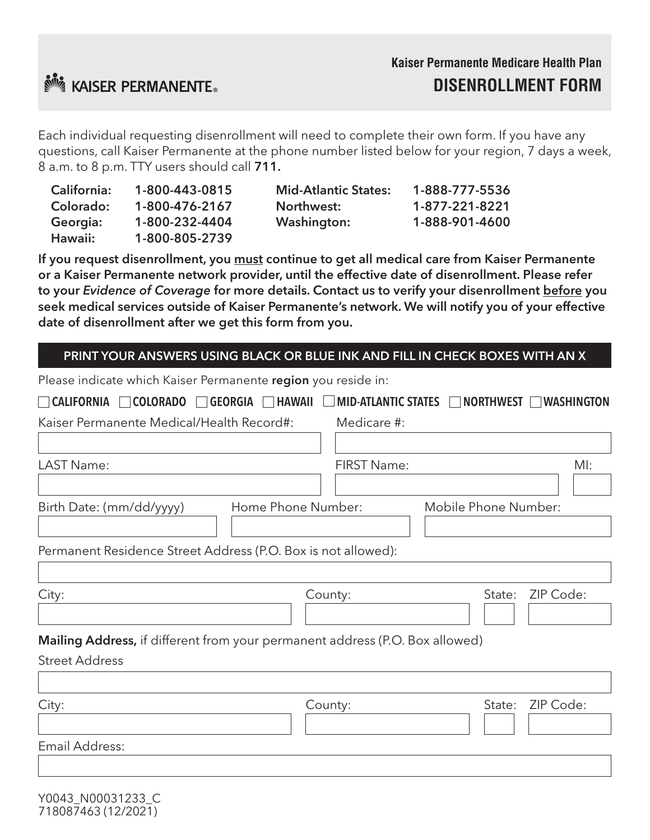

Each individual requesting disenrollment will need to complete their own form. If you have any questions, call Kaiser Permanente at the phone number listed below for your region, 7 days a week, 8 a.m. to 8 p.m. TTY users should call 711.

| <b>California:</b> | 1-800-443-0815 | <b>Mid-Atlantic States:</b> | 1-888-777-5536 |
|--------------------|----------------|-----------------------------|----------------|
| Colorado:          | 1-800-476-2167 | Northwest:                  | 1-877-221-8221 |
| Georgia:           | 1-800-232-4404 | <b>Washington:</b>          | 1-888-901-4600 |
| Hawaii:            | 1-800-805-2739 |                             |                |

If you request disenrollment, you must continue to get all medical care from Kaiser Permanente or a Kaiser Permanente network provider, until the effective date of disenrollment. Please refer to your *Evidence of Coverage* for more details. Contact us to verify your disenrollment before you seek medical services outside of Kaiser Permanente's network. We will notify you of your effective date of disenrollment after we get this form from you.

### PRINT YOUR ANSWERS USING BLACK OR BLUE INK AND FILL IN CHECK BOXES WITH AN X

| Please indicate which Kaiser Permanente region you reside in:                |                                                     |  |  |  |
|------------------------------------------------------------------------------|-----------------------------------------------------|--|--|--|
| <b>HAWAII</b><br>CALIFORNIA COLORADO GEORGIA                                 | MID-ATLANTIC STATES NORTHWEST<br><b>IWASHINGTON</b> |  |  |  |
| Kaiser Permanente Medical/Health Record#:                                    | Medicare #:                                         |  |  |  |
|                                                                              |                                                     |  |  |  |
| LAST Name:                                                                   | <b>FIRST Name:</b><br>$M!$ :                        |  |  |  |
|                                                                              |                                                     |  |  |  |
| Home Phone Number:<br>Birth Date: (mm/dd/yyyy)                               | Mobile Phone Number:                                |  |  |  |
|                                                                              |                                                     |  |  |  |
| Permanent Residence Street Address (P.O. Box is not allowed):                |                                                     |  |  |  |
|                                                                              |                                                     |  |  |  |
| City:                                                                        | ZIP Code:<br>State:<br>County:                      |  |  |  |
|                                                                              |                                                     |  |  |  |
| Mailing Address, if different from your permanent address (P.O. Box allowed) |                                                     |  |  |  |
| <b>Street Address</b>                                                        |                                                     |  |  |  |
|                                                                              |                                                     |  |  |  |
| City:                                                                        | ZIP Code:<br>County:<br>State:                      |  |  |  |
|                                                                              |                                                     |  |  |  |
| Email Address:                                                               |                                                     |  |  |  |
|                                                                              |                                                     |  |  |  |
|                                                                              |                                                     |  |  |  |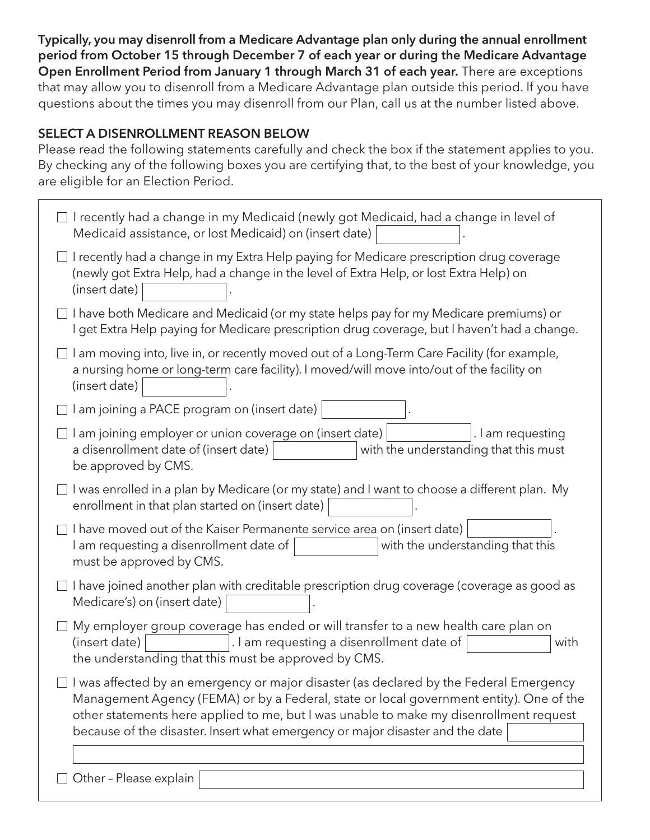Typically, you may disenroll from a Medicare Advantage plan only during the annual enrollment period from October 15 through December 7 of each year or during the Medicare Advantage Open Enrollment Period from January 1 through March 31 of each year. There are exceptions that may allow you to disenroll from a Medicare Advantage plan outside this period. If you have questions about the times you may disenroll from our Plan, call us at the number listed above.

# SELECT A DISENROLLMENT REASON BELOW

Please read the following statements carefully and check the box if the statement applies to you. By checking any of the following boxes you are certifying that, to the best of your knowledge, you are eligible for an Election Period.

| I recently had a change in my Medicaid (newly got Medicaid, had a change in level of<br>Medicaid assistance, or lost Medicaid) on (insert date)                                                                                                                                                                                                                     |  |  |
|---------------------------------------------------------------------------------------------------------------------------------------------------------------------------------------------------------------------------------------------------------------------------------------------------------------------------------------------------------------------|--|--|
| I recently had a change in my Extra Help paying for Medicare prescription drug coverage<br>(newly got Extra Help, had a change in the level of Extra Help, or lost Extra Help) on<br>(insert date)                                                                                                                                                                  |  |  |
| I have both Medicare and Medicaid (or my state helps pay for my Medicare premiums) or<br>I get Extra Help paying for Medicare prescription drug coverage, but I haven't had a change.                                                                                                                                                                               |  |  |
| I am moving into, live in, or recently moved out of a Long-Term Care Facility (for example,<br>a nursing home or long-term care facility). I moved/will move into/out of the facility on<br>(insert date)                                                                                                                                                           |  |  |
| I am joining a PACE program on (insert date)                                                                                                                                                                                                                                                                                                                        |  |  |
| I am joining employer or union coverage on (insert date)<br>. I am requesting<br>a disenrollment date of (insert date)<br>with the understanding that this must<br>be approved by CMS.                                                                                                                                                                              |  |  |
| I was enrolled in a plan by Medicare (or my state) and I want to choose a different plan. My<br>enrollment in that plan started on (insert date)                                                                                                                                                                                                                    |  |  |
| I have moved out of the Kaiser Permanente service area on (insert date)<br>with the understanding that this<br>I am requesting a disenrollment date of<br>must be approved by CMS.                                                                                                                                                                                  |  |  |
| I have joined another plan with creditable prescription drug coverage (coverage as good as<br>Medicare's) on (insert date)                                                                                                                                                                                                                                          |  |  |
| My employer group coverage has ended or will transfer to a new health care plan on<br>. I am requesting a disenrollment date of<br>(insert date)<br>with<br>the understanding that this must be approved by CMS.                                                                                                                                                    |  |  |
| $\Box$ I was affected by an emergency or major disaster (as declared by the Federal Emergency<br>Management Agency (FEMA) or by a Federal, state or local government entity). One of the<br>other statements here applied to me, but I was unable to make my disenrollment request<br>because of the disaster. Insert what emergency or major disaster and the date |  |  |
|                                                                                                                                                                                                                                                                                                                                                                     |  |  |
| Other - Please explain                                                                                                                                                                                                                                                                                                                                              |  |  |